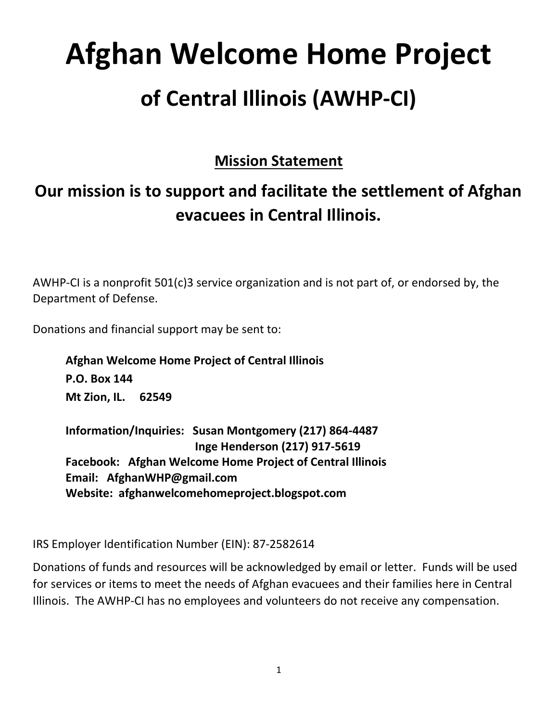# Afghan Welcome Home Project of Central Illinois (AWHP-CI)

### Mission Statement

# Our mission is to support and facilitate the settlement of Afghan evacuees in Central Illinois.

AWHP-CI is a nonprofit 501(c)3 service organization and is not part of, or endorsed by, the Department of Defense.

Donations and financial support may be sent to:

Afghan Welcome Home Project of Central Illinois P.O. Box 144 Mt Zion, IL. 62549

Information/Inquiries: Susan Montgomery (217) 864-4487 Inge Henderson (217) 917-5619 Facebook: Afghan Welcome Home Project of Central Illinois Email: AfghanWHP@gmail.com Website: afghanwelcomehomeproject.blogspot.com

IRS Employer Identification Number (EIN): 87-2582614

Donations of funds and resources will be acknowledged by email or letter. Funds will be used for services or items to meet the needs of Afghan evacuees and their families here in Central Illinois. The AWHP-CI has no employees and volunteers do not receive any compensation.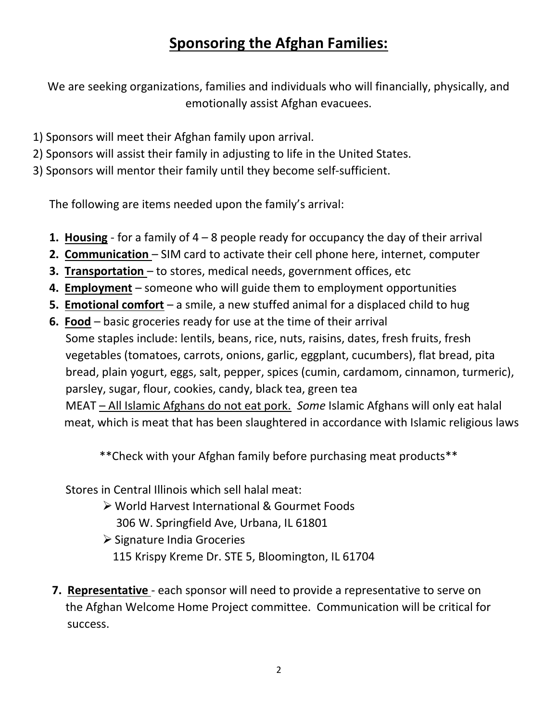## Sponsoring the Afghan Families:

We are seeking organizations, families and individuals who will financially, physically, and emotionally assist Afghan evacuees.

- 1) Sponsors will meet their Afghan family upon arrival.
- 2) Sponsors will assist their family in adjusting to life in the United States.
- 3) Sponsors will mentor their family until they become self-sufficient.

The following are items needed upon the family's arrival:

- 1. Housing for a family of  $4 8$  people ready for occupancy the day of their arrival
- 2. Communication SIM card to activate their cell phone here, internet, computer
- 3. Transportation to stores, medical needs, government offices, etc
- 4. Employment someone who will guide them to employment opportunities
- 5. Emotional comfort a smile, a new stuffed animal for a displaced child to hug
- 6. Food basic groceries ready for use at the time of their arrival Some staples include: lentils, beans, rice, nuts, raisins, dates, fresh fruits, fresh vegetables (tomatoes, carrots, onions, garlic, eggplant, cucumbers), flat bread, pita bread, plain yogurt, eggs, salt, pepper, spices (cumin, cardamom, cinnamon, turmeric), parsley, sugar, flour, cookies, candy, black tea, green tea MEAT – All Islamic Afghans do not eat pork. Some Islamic Afghans will only eat halal meat, which is meat that has been slaughtered in accordance with Islamic religious laws

\*\*Check with your Afghan family before purchasing meat products\*\*

Stores in Central Illinois which sell halal meat:

- World Harvest International & Gourmet Foods 306 W. Springfield Ave, Urbana, IL 61801
- $\triangleright$  Signature India Groceries 115 Krispy Kreme Dr. STE 5, Bloomington, IL 61704
- **7. Representative** each sponsor will need to provide a representative to serve on the Afghan Welcome Home Project committee. Communication will be critical for success.